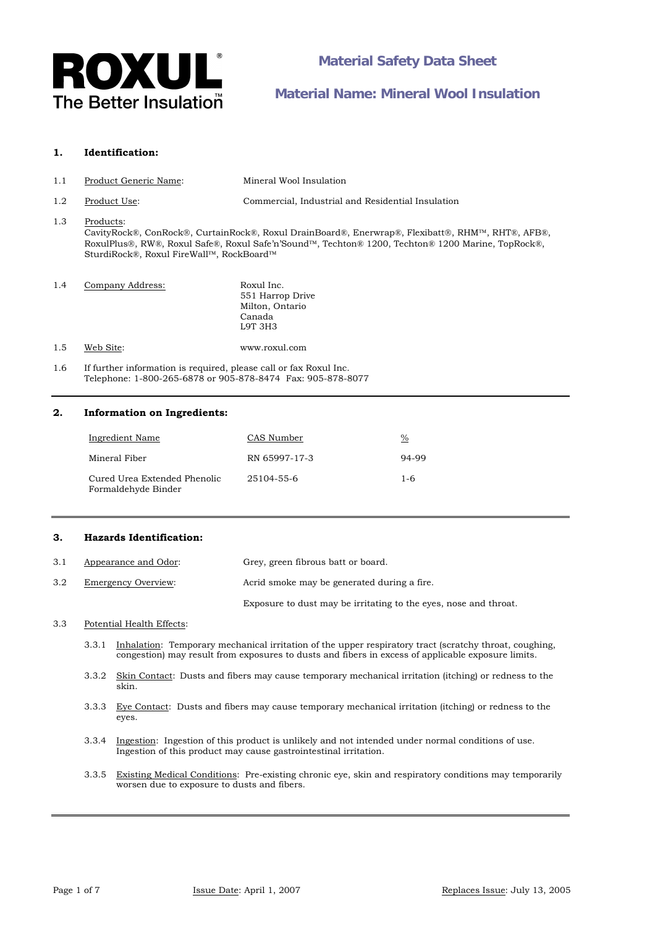

## **1. Identification:**

- 1.1 Product Generic Name: Mineral Wool Insulation
- 1.2 Product Use: Commercial, Industrial and Residential Insulation

# 1.3 Products:

CavityRock®, ConRock®, CurtainRock®, Roxul DrainBoard®, Enerwrap®, Flexibatt®, RHM™, RHT®, AFB®, RoxulPlus®, RW®, Roxul Safe®, Roxul Safe'n'Sound™, Techton® 1200, Techton® 1200 Marine, TopRock®, SturdiRock®, Roxul FireWall™, RockBoard™

| 1.4 | Company Address: | Roxul Inc.       |
|-----|------------------|------------------|
|     |                  | 551 Harrop Drive |
|     |                  | Milton, Ontario  |
|     |                  | Canada           |
|     |                  | L9T 3H3          |
|     |                  |                  |

1.5 Web Site: www.roxul.com

1.6 If further information is required, please call or fax Roxul Inc. Telephone: 1-800-265-6878 or 905-878-8474 Fax: 905-878-8077

# **2. Information on Ingredients:**

| Ingredient Name                                     | CAS Number    | $\%$    |
|-----------------------------------------------------|---------------|---------|
| Mineral Fiber                                       | RN 65997-17-3 | 94-99   |
| Cured Urea Extended Phenolic<br>Formaldehyde Binder | 25104-55-6    | $1 - 6$ |

# **3. Hazards Identification:**

| 3.1 | Appearance and Odor: | Grey, green fibrous batt or board.                               |
|-----|----------------------|------------------------------------------------------------------|
| 3.2 | Emergency Overview:  | Acrid smoke may be generated during a fire.                      |
|     |                      | Exposure to dust may be irritating to the eyes, nose and throat. |

### 3.3 Potential Health Effects:

- 3.3.1 Inhalation: Temporary mechanical irritation of the upper respiratory tract (scratchy throat, coughing, congestion) may result from exposures to dusts and fibers in excess of applicable exposure limits.
- 3.3.2 Skin Contact: Dusts and fibers may cause temporary mechanical irritation (itching) or redness to the skin.
- 3.3.3 Eye Contact: Dusts and fibers may cause temporary mechanical irritation (itching) or redness to the eyes.
- 3.3.4 Ingestion: Ingestion of this product is unlikely and not intended under normal conditions of use. Ingestion of this product may cause gastrointestinal irritation.
- 3.3.5 Existing Medical Conditions: Pre-existing chronic eye, skin and respiratory conditions may temporarily worsen due to exposure to dusts and fibers.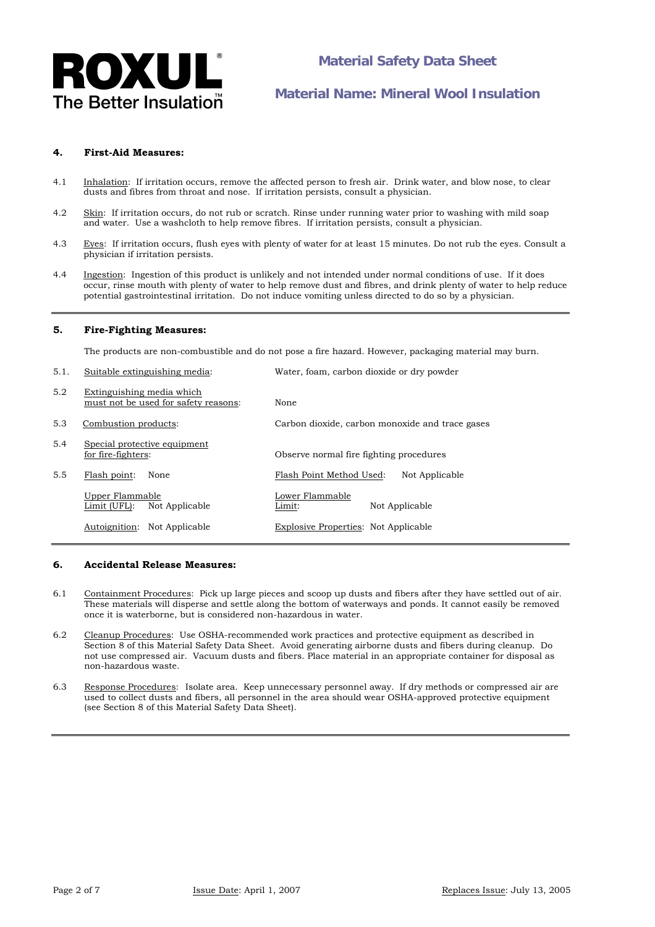

## **4. First-Aid Measures:**

- 4.1 Inhalation: If irritation occurs, remove the affected person to fresh air. Drink water, and blow nose, to clear dusts and fibres from throat and nose. If irritation persists, consult a physician.
- 4.2 Skin: If irritation occurs, do not rub or scratch. Rinse under running water prior to washing with mild soap and water. Use a washcloth to help remove fibres. If irritation persists, consult a physician.
- 4.3 Eyes: If irritation occurs, flush eyes with plenty of water for at least 15 minutes. Do not rub the eyes. Consult a physician if irritation persists.
- 4.4 Ingestion: Ingestion of this product is unlikely and not intended under normal conditions of use. If it does occur, rinse mouth with plenty of water to help remove dust and fibres, and drink plenty of water to help reduce potential gastrointestinal irritation. Do not induce vomiting unless directed to do so by a physician.

### **5. Fire-Fighting Measures:**

The products are non-combustible and do not pose a fire hazard. However, packaging material may burn.

5.1. Suitable extinguishing media: Water, foam, carbon dioxide or dry powder

| J.I. | Sunable exunguishing incula.                                      | water, ioain, carbon dioxide or dry powder      |
|------|-------------------------------------------------------------------|-------------------------------------------------|
| 5.2  | Extinguishing media which<br>must not be used for safety reasons: | None                                            |
| 5.3  | Combustion products:                                              | Carbon dioxide, carbon monoxide and trace gases |
| 5.4  | Special protective equipment<br>for fire-fighters:                | Observe normal fire fighting procedures         |
| 5.5  | Flash point:<br>None                                              | Flash Point Method Used:<br>Not Applicable      |
|      | Upper Flammable<br>Not Applicable<br>Limit (UFL):                 | Lower Flammable<br>Not Applicable<br>Limit:     |
|      | Autoignition:<br>Not Applicable                                   | Explosive Properties: Not Applicable            |
|      |                                                                   |                                                 |

## **6. Accidental Release Measures:**

- 6.1 Containment Procedures: Pick up large pieces and scoop up dusts and fibers after they have settled out of air. These materials will disperse and settle along the bottom of waterways and ponds. It cannot easily be removed once it is waterborne, but is considered non-hazardous in water.
- 6.2 Cleanup Procedures: Use OSHA-recommended work practices and protective equipment as described in Section 8 of this Material Safety Data Sheet. Avoid generating airborne dusts and fibers during cleanup. Do not use compressed air. Vacuum dusts and fibers. Place material in an appropriate container for disposal as non-hazardous waste.
- 6.3 Response Procedures: Isolate area. Keep unnecessary personnel away. If dry methods or compressed air are used to collect dusts and fibers, all personnel in the area should wear OSHA-approved protective equipment (see Section 8 of this Material Safety Data Sheet).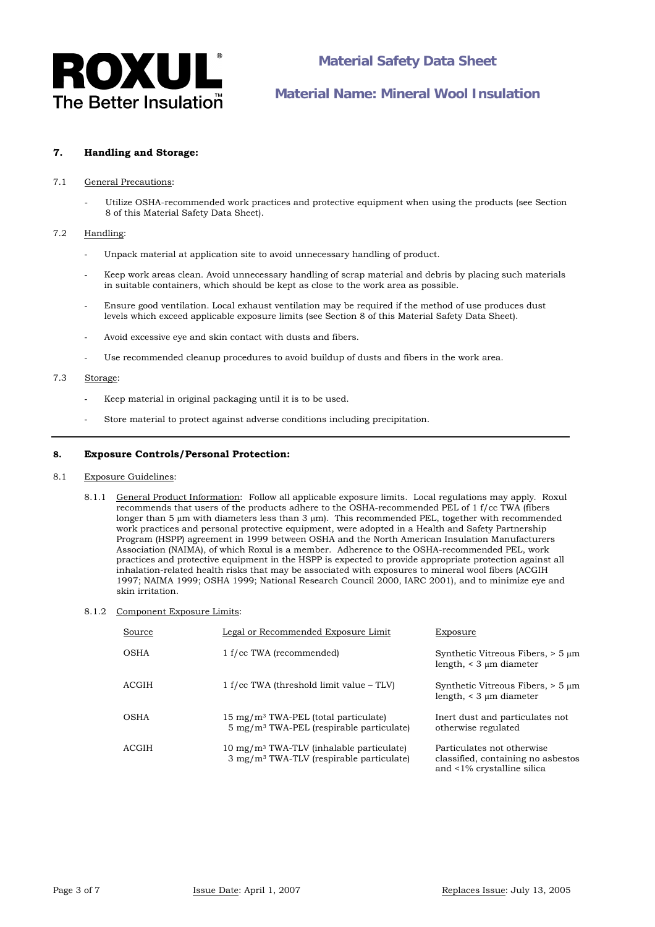

## **7. Handling and Storage:**

#### 7.1 General Precautions:

Utilize OSHA-recommended work practices and protective equipment when using the products (see Section 8 of this Material Safety Data Sheet).

### 7.2 Handling:

- Unpack material at application site to avoid unnecessary handling of product.
- Keep work areas clean. Avoid unnecessary handling of scrap material and debris by placing such materials in suitable containers, which should be kept as close to the work area as possible.
- Ensure good ventilation. Local exhaust ventilation may be required if the method of use produces dust levels which exceed applicable exposure limits (see Section 8 of this Material Safety Data Sheet).
- Avoid excessive eye and skin contact with dusts and fibers.
- Use recommended cleanup procedures to avoid buildup of dusts and fibers in the work area.

## 7.3 Storage:

- Keep material in original packaging until it is to be used.
- Store material to protect against adverse conditions including precipitation.

## **8. Exposure Controls/Personal Protection:**

#### 8.1 Exposure Guidelines:

- 8.1.1 General Product Information: Follow all applicable exposure limits. Local regulations may apply*.* Roxul recommends that users of the products adhere to the OSHA-recommended PEL of 1 f/cc TWA (fibers longer than 5 μm with diameters less than 3 μm). This recommended PEL, together with recommended work practices and personal protective equipment, were adopted in a Health and Safety Partnership Program (HSPP) agreement in 1999 between OSHA and the North American Insulation Manufacturers Association (NAIMA), of which Roxul is a member. Adherence to the OSHA-recommended PEL, work practices and protective equipment in the HSPP is expected to provide appropriate protection against all inhalation-related health risks that may be associated with exposures to mineral wool fibers (ACGIH 1997; NAIMA 1999; OSHA 1999; National Research Council 2000, IARC 2001), and to minimize eye and skin irritation.
- 8.1.2 Component Exposure Limits:

| Source | Legal or Recommended Exposure Limit                                                                               | Exposure                                                                                       |
|--------|-------------------------------------------------------------------------------------------------------------------|------------------------------------------------------------------------------------------------|
| OSHA   | 1 f/cc TWA (recommended)                                                                                          | Synthetic Vitreous Fibers, $> 5 \mu m$<br>length, $\leq 3 \mu m$ diameter                      |
| ACGIH  | $1 f$ /cc TWA (threshold limit value – TLV)                                                                       | Synthetic Vitreous Fibers, $> 5 \mu m$<br>length, $\leq$ 3 $\mu$ m diameter                    |
| OSHA   | $15 \text{ mg/m}^3$ TWA-PEL (total particulate)<br>$5 \text{ mg/m}$ <sup>3</sup> TWA-PEL (respirable particulate) | Inert dust and particulates not<br>otherwise regulated                                         |
| ACGIH  | $10 \text{ mg/m}^3$ TWA-TLV (inhalable particulate)<br>$3 \text{ mg/m}^3$ TWA-TLV (respirable particulate)        | Particulates not otherwise<br>classified, containing no asbestos<br>and <1% crystalline silica |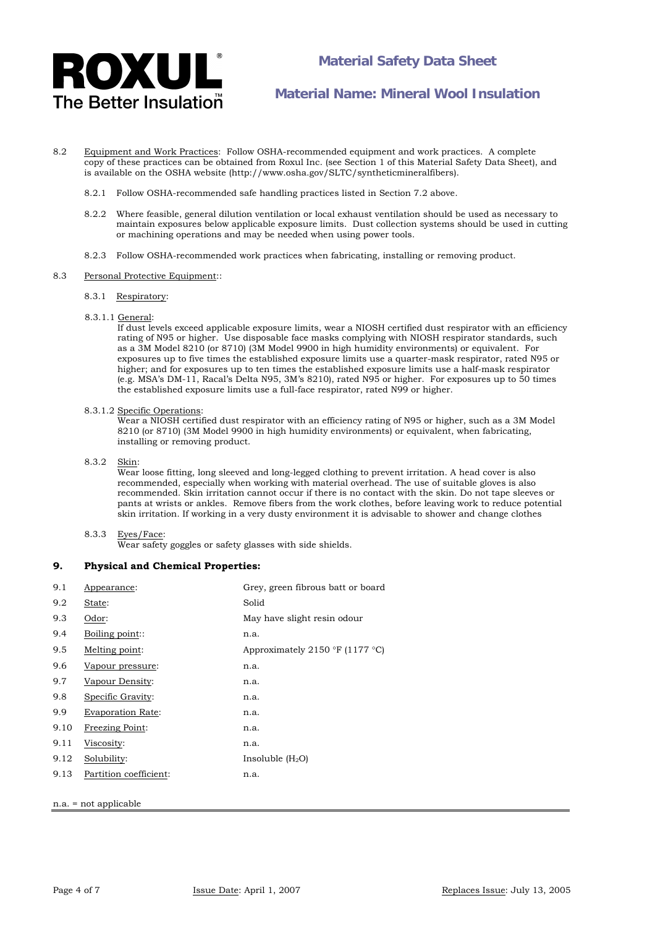

- 8.2 Equipment and Work Practices: Follow OSHA-recommended equipment and work practices. A complete copy of these practices can be obtained from Roxul Inc. (see Section 1 of this Material Safety Data Sheet), and is available on the OSHA website (http://www.osha.gov/SLTC/syntheticmineralfibers).
	- 8.2.1 Follow OSHA-recommended safe handling practices listed in Section 7.2 above.
	- 8.2.2 Where feasible, general dilution ventilation or local exhaust ventilation should be used as necessary to maintain exposures below applicable exposure limits. Dust collection systems should be used in cutting or machining operations and may be needed when using power tools.
	- 8.2.3 Follow OSHA-recommended work practices when fabricating, installing or removing product.

#### 8.3 Personal Protective Equipment::

- 8.3.1 Respiratory:
- 8.3.1.1 General:

 If dust levels exceed applicable exposure limits, wear a NIOSH certified dust respirator with an efficiency rating of N95 or higher. Use disposable face masks complying with NIOSH respirator standards, such as a 3M Model 8210 (or 8710) (3M Model 9900 in high humidity environments) or equivalent. For exposures up to five times the established exposure limits use a quarter-mask respirator, rated N95 or higher; and for exposures up to ten times the established exposure limits use a half-mask respirator (e.g. MSA's DM-11, Racal's Delta N95, 3M's 8210), rated N95 or higher. For exposures up to 50 times the established exposure limits use a full-face respirator, rated N99 or higher.

#### 8.3.1.2 Specific Operations:

 $\overline{W}$ ear a NIOSH certified dust respirator with an efficiency rating of N95 or higher, such as a 3M Model 8210 (or 8710) (3M Model 9900 in high humidity environments) or equivalent, when fabricating, installing or removing product.

8.3.2 Skin:

Wear loose fitting, long sleeved and long-legged clothing to prevent irritation. A head cover is also recommended, especially when working with material overhead. The use of suitable gloves is also recommended. Skin irritation cannot occur if there is no contact with the skin. Do not tape sleeves or pants at wrists or ankles. Remove fibers from the work clothes, before leaving work to reduce potential skin irritation. If working in a very dusty environment it is advisable to shower and change clothes

#### 8.3.3 Eyes/Face:

Wear safety goggles or safety glasses with side shields.

#### **9. Physical and Chemical Properties:**

| 9.1                     | Appearance:              | Grey, green fibrous batt or board |
|-------------------------|--------------------------|-----------------------------------|
| 9.2                     | State:                   | Solid                             |
| 9.3                     | Odor:                    | May have slight resin odour       |
| 9.4                     | Boiling point::          | n.a.                              |
| 9.5                     | Melting point:           | Approximately 2150 °F (1177 °C)   |
| 9.6                     | Vapour pressure:         | n.a.                              |
| 9.7                     | Vapour Density:          | n.a.                              |
| 9.8                     | Specific Gravity:        | n.a.                              |
| 9.9                     | <b>Evaporation Rate:</b> | n.a.                              |
| 9.10                    | <b>Freezing Point:</b>   | n.a.                              |
| 9.11                    | Viscosity:               | n.a.                              |
| 9.12                    | Solubility:              | Insoluble $(H_2O)$                |
| 9.13                    | Partition coefficient:   | n.a.                              |
|                         |                          |                                   |
| $n.a. = not applicable$ |                          |                                   |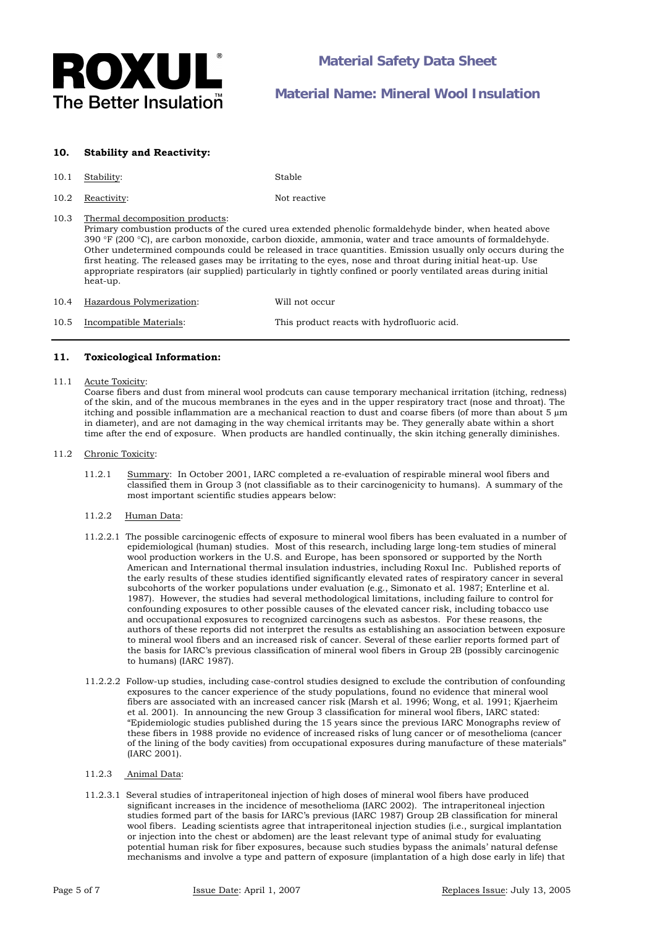

## **10. Stability and Reactivity:**

#### 10.1 Stability: Stable

10.2 Reactivity: Not reactive

## 10.3 Thermal decomposition products:

 Primary combustion products of the cured urea extended phenolic formaldehyde binder, when heated above 390 °F (200 °C), are carbon monoxide, carbon dioxide, ammonia, water and trace amounts of formaldehyde. Other undetermined compounds could be released in trace quantities. Emission usually only occurs during the first heating. The released gases may be irritating to the eyes, nose and throat during initial heat-up. Use appropriate respirators (air supplied) particularly in tightly confined or poorly ventilated areas during initial heat-up.

| 10.4 | Hazardous Polymerization: | Will not occur                              |
|------|---------------------------|---------------------------------------------|
| 10.5 | Incompatible Materials:   | This product reacts with hydrofluoric acid. |

## **11. Toxicological Information:**

### 11.1 Acute Toxicity:

Coarse fibers and dust from mineral wool prodcuts can cause temporary mechanical irritation (itching, redness) of the skin, and of the mucous membranes in the eyes and in the upper respiratory tract (nose and throat). The itching and possible inflammation are a mechanical reaction to dust and coarse fibers (of more than about 5 µm in diameter), and are not damaging in the way chemical irritants may be. They generally abate within a short time after the end of exposure. When products are handled continually, the skin itching generally diminishes.

#### 11.2 Chronic Toxicity:

11.2.1 Summary: In October 2001, IARC completed a re-evaluation of respirable mineral wool fibers and classified them in Group 3 (not classifiable as to their carcinogenicity to humans). A summary of the most important scientific studies appears below:

## 11.2.2 Human Data:

- 11.2.2.1 The possible carcinogenic effects of exposure to mineral wool fibers has been evaluated in a number of epidemiological (human) studies. Most of this research, including large long-tem studies of mineral wool production workers in the U.S. and Europe, has been sponsored or supported by the North American and International thermal insulation industries, including Roxul Inc. Published reports of the early results of these studies identified significantly elevated rates of respiratory cancer in several subcohorts of the worker populations under evaluation (e.g., Simonato et al. 1987; Enterline et al. 1987). However, the studies had several methodological limitations, including failure to control for confounding exposures to other possible causes of the elevated cancer risk, including tobacco use and occupational exposures to recognized carcinogens such as asbestos. For these reasons, the authors of these reports did not interpret the results as establishing an association between exposure to mineral wool fibers and an increased risk of cancer. Several of these earlier reports formed part of the basis for IARC's previous classification of mineral wool fibers in Group 2B (possibly carcinogenic to humans) (IARC 1987).
- 11.2.2.2 Follow-up studies, including case-control studies designed to exclude the contribution of confounding exposures to the cancer experience of the study populations, found no evidence that mineral wool fibers are associated with an increased cancer risk (Marsh et al. 1996; Wong, et al. 1991; Kjaerheim et al. 2001). In announcing the new Group 3 classification for mineral wool fibers, IARC stated: "Epidemiologic studies published during the 15 years since the previous IARC Monographs review of these fibers in 1988 provide no evidence of increased risks of lung cancer or of mesothelioma (cancer of the lining of the body cavities) from occupational exposures during manufacture of these materials" (IARC 2001).

#### 11.2.3 Animal Data:

11.2.3.1 Several studies of intraperitoneal injection of high doses of mineral wool fibers have produced significant increases in the incidence of mesothelioma (IARC 2002). The intraperitoneal injection studies formed part of the basis for IARC's previous (IARC 1987) Group 2B classification for mineral wool fibers. Leading scientists agree that intraperitoneal injection studies (i.e., surgical implantation or injection into the chest or abdomen) are the least relevant type of animal study for evaluating potential human risk for fiber exposures, because such studies bypass the animals' natural defense mechanisms and involve a type and pattern of exposure (implantation of a high dose early in life) that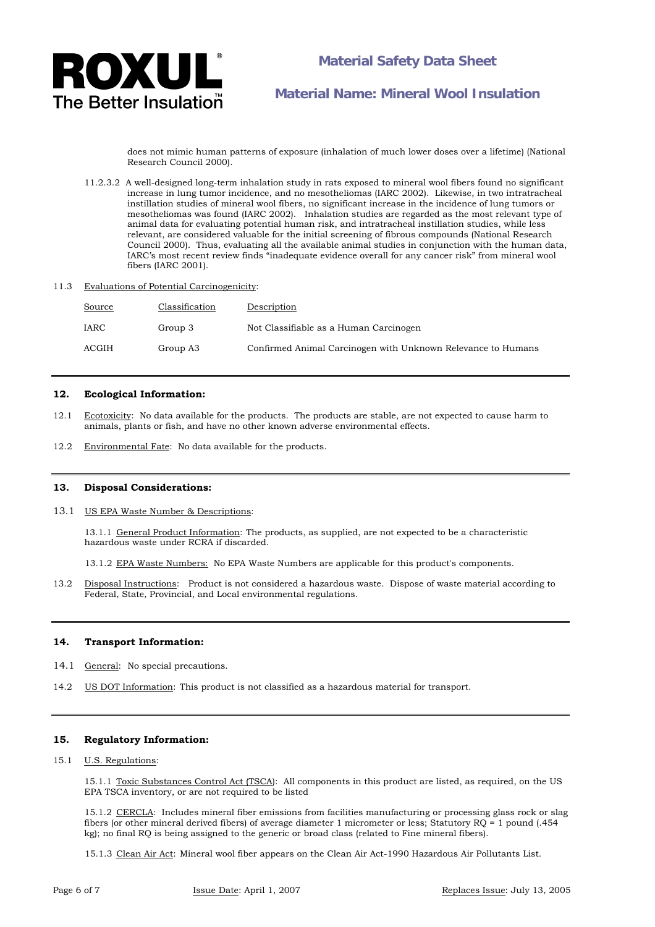

does not mimic human patterns of exposure (inhalation of much lower doses over a lifetime) (National Research Council 2000).

- 11.2.3.2 A well-designed long-term inhalation study in rats exposed to mineral wool fibers found no significant increase in lung tumor incidence, and no mesotheliomas (IARC 2002). Likewise, in two intratracheal instillation studies of mineral wool fibers, no significant increase in the incidence of lung tumors or mesotheliomas was found (IARC 2002). Inhalation studies are regarded as the most relevant type of animal data for evaluating potential human risk, and intratracheal instillation studies, while less relevant, are considered valuable for the initial screening of fibrous compounds (National Research Council 2000). Thus, evaluating all the available animal studies in conjunction with the human data, IARC's most recent review finds "inadequate evidence overall for any cancer risk" from mineral wool fibers (IARC 2001).
- 11.3 Evaluations of Potential Carcinogenicity:

| Source | Classification | Description                                                  |
|--------|----------------|--------------------------------------------------------------|
| IARC   | Group 3        | Not Classifiable as a Human Carcinogen                       |
| ACGIH  | Group A3       | Confirmed Animal Carcinogen with Unknown Relevance to Humans |

### **12. Ecological Information:**

- 12.1 Ecotoxicity: No data available for the products. The products are stable, are not expected to cause harm to animals, plants or fish, and have no other known adverse environmental effects.
- 12.2 Environmental Fate: No data available for the products.

#### **13. Disposal Considerations:**

13.1 US EPA Waste Number & Descriptions:

13.1.1 General Product Information: The products, as supplied, are not expected to be a characteristic hazardous waste under RCRA if discarded.

13.1.2 EPA Waste Numbers: No EPA Waste Numbers are applicable for this product's components.

13.2 Disposal Instructions: Product is not considered a hazardous waste. Dispose of waste material according to Federal, State, Provincial, and Local environmental regulations.

#### **14. Transport Information:**

- 14.1 General: No special precautions.
- 14.2 US DOT Information: This product is not classified as a hazardous material for transport.

## **15. Regulatory Information:**

#### 15.1 U.S. Regulations:

 15.1.1 Toxic Substances Control Act (TSCA): All components in this product are listed, as required, on the US EPA TSCA inventory, or are not required to be listed

15.1.2 CERCLA: Includes mineral fiber emissions from facilities manufacturing or processing glass rock or slag fibers (or other mineral derived fibers) of average diameter 1 micrometer or less; Statutory RQ = 1 pound (.454 kg); no final RQ is being assigned to the generic or broad class (related to Fine mineral fibers).

15.1.3 Clean Air Act: Mineral wool fiber appears on the Clean Air Act-1990 Hazardous Air Pollutants List.